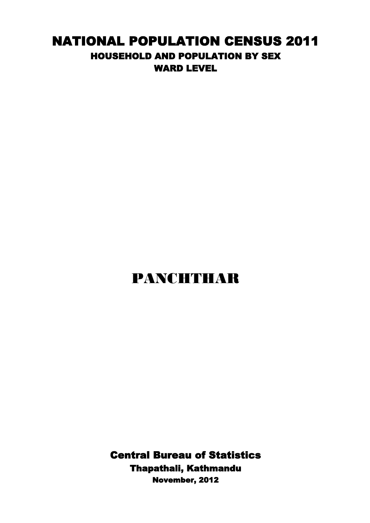## NATIONAL POPULATION CENSUS 2011 HOUSEHOLD AND POPULATION BY SEX WARD LEVEL

## PANCHTHAR

Central Bureau of Statistics Thapathali, Kathmandu November, 2012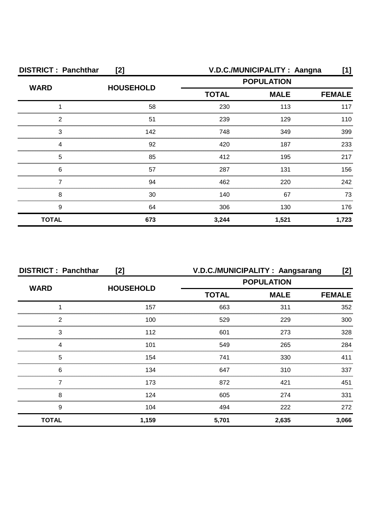| <b>DISTRICT: Panchthar</b><br>[2] |                  | V.D.C./MUNICIPALITY: Aangna<br>[1] |                   |               |
|-----------------------------------|------------------|------------------------------------|-------------------|---------------|
| <b>WARD</b>                       | <b>HOUSEHOLD</b> |                                    | <b>POPULATION</b> |               |
|                                   |                  | <b>TOTAL</b><br><b>MALE</b>        |                   | <b>FEMALE</b> |
|                                   | 58               | 230                                | 113               | 117           |
| 2                                 | 51               | 239                                | 129               | 110           |
| 3                                 | 142              | 748                                | 349               | 399           |
|                                   | 92               | 420                                | 187               | 233           |
| 5                                 | 85               | 412                                | 195               | 217           |
| 6                                 | 57               | 287                                | 131               | 156           |
|                                   | 94               | 462                                | 220               | 242           |
| 8                                 | 30               | 140                                | 67                | 73            |
| 9                                 | 64               | 306                                | 130               | 176           |
| <b>TOTAL</b>                      | 673              | 3,244                              | 1,521             | 1,723         |

| <b>DISTRICT: Panchthar</b><br>[2] |                  | V.D.C./MUNICIPALITY: Aangsarang<br>[2] |             |               |
|-----------------------------------|------------------|----------------------------------------|-------------|---------------|
| <b>WARD</b>                       |                  | <b>POPULATION</b>                      |             |               |
|                                   | <b>HOUSEHOLD</b> | <b>TOTAL</b>                           | <b>MALE</b> | <b>FEMALE</b> |
|                                   | 157              | 663                                    | 311         | 352           |
| 2                                 | 100              | 529                                    | 229         | 300           |
| 3                                 | 112              | 601                                    | 273         | 328           |
| Δ                                 | 101              | 549                                    | 265         | 284           |
| 5                                 | 154              | 741                                    | 330         | 411           |
| 6                                 | 134              | 647                                    | 310         | 337           |
|                                   | 173              | 872                                    | 421         | 451           |
| 8                                 | 124              | 605                                    | 274         | 331           |
| 9                                 | 104              | 494                                    | 222         | 272           |
| <b>TOTAL</b>                      | 1,159            | 5,701                                  | 2,635       | 3,066         |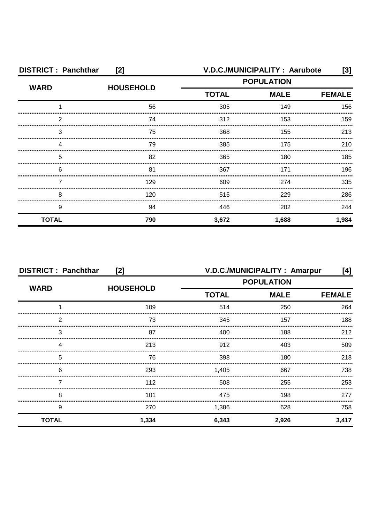| <b>DISTRICT: Panchthar</b><br>[2] |                  |                   | V.D.C./MUNICIPALITY: Aarubote | [3]           |
|-----------------------------------|------------------|-------------------|-------------------------------|---------------|
| <b>WARD</b>                       | <b>HOUSEHOLD</b> | <b>POPULATION</b> |                               |               |
|                                   |                  | <b>TOTAL</b>      | <b>MALE</b>                   | <b>FEMALE</b> |
|                                   | 56               | 305               | 149                           | 156           |
| 2                                 | 74               | 312               | 153                           | 159           |
| 3                                 | 75               | 368               | 155                           | 213           |
| Δ                                 | 79               | 385               | 175                           | 210           |
| 5                                 | 82               | 365               | 180                           | 185           |
| 6                                 | 81               | 367               | 171                           | 196           |
|                                   | 129              | 609               | 274                           | 335           |
| 8                                 | 120              | 515               | 229                           | 286           |
| 9                                 | 94               | 446               | 202                           | 244           |
| <b>TOTAL</b>                      | 790              | 3,672             | 1,688                         | 1,984         |

| <b>DISTRICT: Panchthar</b><br>[2] |       | V.D.C./MUNICIPALITY: Amarpur<br>[4] |                   |               |
|-----------------------------------|-------|-------------------------------------|-------------------|---------------|
| <b>WARD</b><br><b>HOUSEHOLD</b>   |       |                                     | <b>POPULATION</b> |               |
|                                   |       | <b>TOTAL</b>                        | <b>MALE</b>       | <b>FEMALE</b> |
|                                   | 109   | 514                                 | 250               | 264           |
| 2                                 | 73    | 345                                 | 157               | 188           |
| 3                                 | 87    | 400                                 | 188               | 212           |
|                                   | 213   | 912                                 | 403               | 509           |
| 5                                 | 76    | 398                                 | 180               | 218           |
| 6                                 | 293   | 1,405                               | 667               | 738.          |
|                                   | 112   | 508                                 | 255               | 253           |
| 8                                 | 101   | 475                                 | 198               | 277           |
| 9                                 | 270   | 1,386                               | 628               | 758           |
| <b>TOTAL</b>                      | 1,334 | 6,343                               | 2,926             | 3,417         |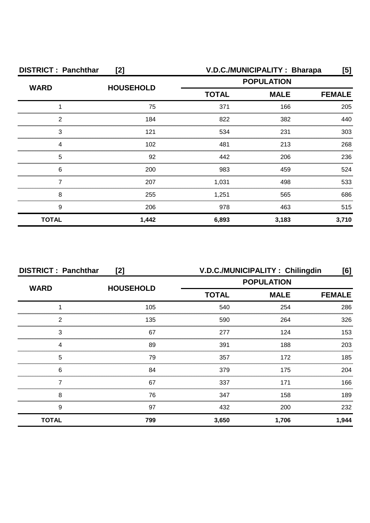| <b>DISTRICT: Panchthar</b><br>[2] |                  | V.D.C./MUNICIPALITY: Bharapa<br>[5] |                   |       |
|-----------------------------------|------------------|-------------------------------------|-------------------|-------|
| <b>WARD</b>                       | <b>HOUSEHOLD</b> |                                     | <b>POPULATION</b> |       |
|                                   |                  | <b>MALE</b><br><b>TOTAL</b>         | <b>FEMALE</b>     |       |
|                                   | 75               | 371                                 | 166               | 205   |
| 2                                 | 184              | 822                                 | 382               | 440   |
| 3                                 | 121              | 534                                 | 231               | 303   |
|                                   | 102              | 481                                 | 213               | 268   |
| 5                                 | 92               | 442                                 | 206               | 236   |
| 6                                 | 200              | 983                                 | 459               | 524   |
|                                   | 207              | 1,031                               | 498               | 533   |
| 8                                 | 255              | 1,251                               | 565               | 686   |
| 9                                 | 206              | 978                                 | 463               | 515   |
| <b>TOTAL</b>                      | 1,442            | 6,893                               | 3,183             | 3,710 |

| <b>DISTRICT: Panchthar</b><br>[2] |                  | V.D.C./MUNICIPALITY: Chilingdin<br>[6] |               |       |
|-----------------------------------|------------------|----------------------------------------|---------------|-------|
|                                   |                  | <b>POPULATION</b>                      |               |       |
| <b>WARD</b>                       | <b>HOUSEHOLD</b> | <b>TOTAL</b><br><b>MALE</b>            | <b>FEMALE</b> |       |
|                                   | 105              | 540                                    | 254           | 286   |
| 2                                 | 135              | 590                                    | 264           | 326   |
| 3                                 | 67               | 277                                    | 124           | 153   |
|                                   | 89               | 391                                    | 188           | 203   |
| 5                                 | 79               | 357                                    | 172           | 185   |
| 6                                 | 84               | 379                                    | 175           | 204   |
|                                   | 67               | 337                                    | 171           | 166   |
| 8                                 | 76               | 347                                    | 158           | 189   |
| 9                                 | 97               | 432                                    | 200           | 232   |
| <b>TOTAL</b>                      | 799              | 3,650                                  | 1,706         | 1,944 |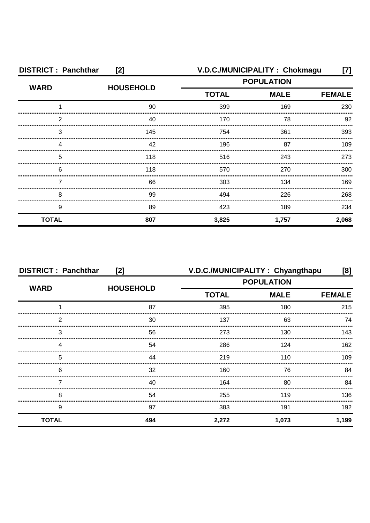| <b>DISTRICT: Panchthar</b><br>[2] |                  |                   | V.D.C./MUNICIPALITY: Chokmagu | [7]           |
|-----------------------------------|------------------|-------------------|-------------------------------|---------------|
| <b>WARD</b>                       | <b>HOUSEHOLD</b> | <b>POPULATION</b> |                               |               |
|                                   |                  | <b>TOTAL</b>      | <b>MALE</b>                   | <b>FEMALE</b> |
|                                   | 90               | 399               | 169                           | 230           |
| 2                                 | 40               | 170               | 78                            | 92            |
| 3                                 | 145              | 754               | 361                           | 393           |
|                                   | 42               | 196               | 87                            | 109           |
| 5                                 | 118              | 516               | 243                           | 273           |
| 6                                 | 118              | 570               | 270                           | 300           |
|                                   | 66               | 303               | 134                           | 169           |
| 8                                 | 99               | 494               | 226                           | 268           |
| 9                                 | 89               | 423               | 189                           | 234           |
| <b>TOTAL</b>                      | 807              | 3,825             | 1,757                         | 2,068         |

| <b>DISTRICT: Panchthar</b><br>[2] |                  | V.D.C./MUNICIPALITY: Chyangthapu |             | [8]           |
|-----------------------------------|------------------|----------------------------------|-------------|---------------|
| <b>WARD</b>                       |                  | <b>POPULATION</b>                |             |               |
|                                   | <b>HOUSEHOLD</b> | <b>TOTAL</b>                     | <b>MALE</b> | <b>FEMALE</b> |
|                                   | 87               | 395                              | 180         | 215           |
| 2                                 | 30               | 137                              | 63          | 74            |
| 3                                 | 56               | 273                              | 130         | 143           |
|                                   | 54               | 286                              | 124         | 162           |
| 5                                 | 44               | 219                              | 110         | 109           |
| 6                                 | 32               | 160                              | 76          | 84            |
|                                   | 40               | 164                              | 80          | 84            |
| 8                                 | 54               | 255                              | 119         | 136           |
| 9                                 | 97               | 383                              | 191         | 192           |
| <b>TOTAL</b>                      | 494              | 2,272                            | 1,073       | 1,199         |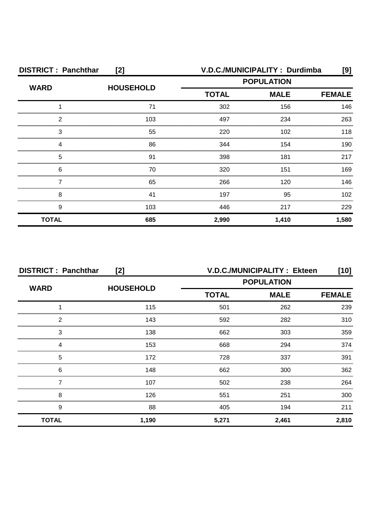| <b>DISTRICT: Panchthar</b><br>[2] |                  |                             | V.D.C./MUNICIPALITY: Durdimba | [9]   |
|-----------------------------------|------------------|-----------------------------|-------------------------------|-------|
| <b>WARD</b>                       | <b>HOUSEHOLD</b> | <b>POPULATION</b>           |                               |       |
|                                   |                  | <b>TOTAL</b><br><b>MALE</b> | <b>FEMALE</b>                 |       |
|                                   | 71               | 302                         | 156                           | 146   |
| 2                                 | 103              | 497                         | 234                           | 263   |
| 3                                 | 55               | 220                         | 102                           | 118   |
| Δ                                 | 86               | 344                         | 154                           | 190   |
| 5                                 | 91               | 398                         | 181                           | 217   |
| 6                                 | 70               | 320                         | 151                           | 169   |
|                                   | 65               | 266                         | 120                           | 146   |
| 8                                 | 41               | 197                         | 95                            | 102   |
| 9                                 | 103              | 446                         | 217                           | 229   |
| <b>TOTAL</b>                      | 685              | 2,990                       | 1,410                         | 1,580 |

| <b>DISTRICT: Panchthar</b><br>[2] |                  |                   | V.D.C./MUNICIPALITY: Ekteen | $[10]$        |
|-----------------------------------|------------------|-------------------|-----------------------------|---------------|
| <b>WARD</b>                       | <b>HOUSEHOLD</b> | <b>POPULATION</b> |                             |               |
|                                   |                  | <b>TOTAL</b>      | <b>MALE</b>                 | <b>FEMALE</b> |
|                                   | 115              | 501               | 262                         | 239           |
| 2                                 | 143              | 592               | 282                         | 310           |
| 3                                 | 138              | 662               | 303                         | 359           |
| 4                                 | 153              | 668               | 294                         | 374           |
| 5                                 | 172              | 728               | 337                         | 391           |
| 6                                 | 148              | 662               | 300                         | 362           |
|                                   | 107              | 502               | 238                         | 264           |
| 8                                 | 126              | 551               | 251                         | 300           |
| 9                                 | 88               | 405               | 194                         | 211           |
| <b>TOTAL</b>                      | 1,190            | 5,271             | 2,461                       | 2,810         |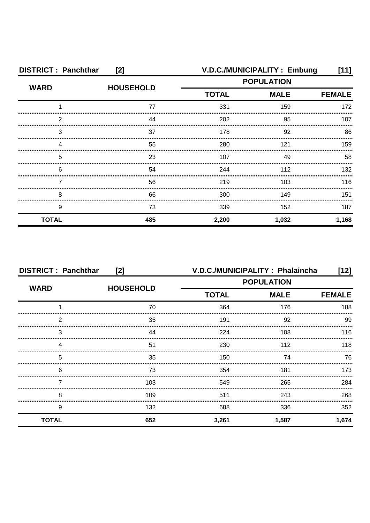| <b>DISTRICT: Panchthar</b><br>[2] |                  |              | V.D.C./MUNICIPALITY: Embung | [11]          |
|-----------------------------------|------------------|--------------|-----------------------------|---------------|
| <b>WARD</b>                       | <b>HOUSEHOLD</b> |              | <b>POPULATION</b>           |               |
|                                   |                  | <b>TOTAL</b> | <b>MALE</b>                 | <b>FEMALE</b> |
|                                   | 77               | 331          | 159                         | 172           |
| 2                                 | 44               | 202          | 95                          | 107           |
| 3                                 | 37               | 178          | 92                          | 86            |
|                                   | 55               | 280          | 121                         | 159           |
| 5                                 | 23               | 107          | 49                          | 58            |
| 6                                 | 54               | 244          | 112                         | 132           |
|                                   | 56               | 219          | 103                         | 116           |
| 8                                 | 66               | 300          | 149                         | 151           |
| 9                                 | 73               | 339          | 152                         | 187           |
| <b>TOTAL</b>                      | 485              | 2,200        | 1,032                       | 1,168         |

| <b>DISTRICT: Panchthar</b><br>[2] |                  | V.D.C./MUNICIPALITY: Phalaincha |                   | [12]          |
|-----------------------------------|------------------|---------------------------------|-------------------|---------------|
| <b>WARD</b>                       | <b>HOUSEHOLD</b> |                                 | <b>POPULATION</b> |               |
|                                   |                  | <b>TOTAL</b>                    | <b>MALE</b>       | <b>FEMALE</b> |
|                                   | 70               | 364                             | 176               | 188           |
| 2                                 | 35               | 191                             | 92                | 99            |
| 3                                 | 44               | 224                             | 108               | 116           |
|                                   | 51               | 230                             | 112               | 118           |
| 5                                 | 35               | 150                             | 74                | 76            |
| 6                                 | 73               | 354                             | 181               | 173           |
|                                   | 103              | 549                             | 265               | 284           |
| 8                                 | 109              | 511                             | 243               | 268           |
| 9                                 | 132              | 688                             | 336               | 352           |
| <b>TOTAL</b>                      | 652              | 3,261                           | 1,587             | 1,674         |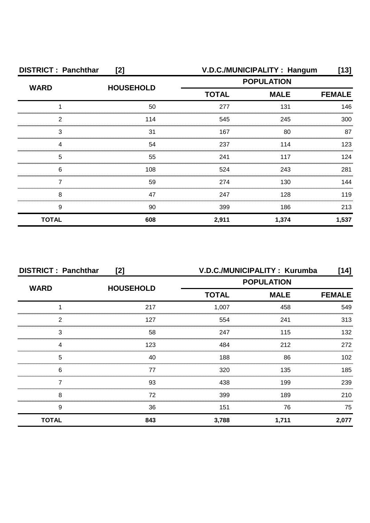| <b>DISTRICT: Panchthar</b><br>[2] |                  |              | V.D.C./MUNICIPALITY: Hangum | [13]          |
|-----------------------------------|------------------|--------------|-----------------------------|---------------|
| <b>WARD</b>                       | <b>HOUSEHOLD</b> |              | <b>POPULATION</b>           |               |
|                                   |                  | <b>TOTAL</b> | <b>MALE</b>                 | <b>FEMALE</b> |
|                                   | 50               | 277          | 131                         | 146           |
| 2                                 | 114              | 545          | 245                         | 300           |
| 3                                 | 31               | 167          | 80                          | 87            |
|                                   | 54               | 237          | 114                         | 123           |
| 5                                 | 55               | 241          | 117                         | 124           |
| 6                                 | 108              | 524          | 243                         | 281           |
|                                   | 59               | 274          | 130                         | 144           |
| 8                                 | 47               | 247          | 128                         | 119           |
| 9                                 | 90               | 399          | 186                         | 213           |
| <b>TOTAL</b>                      | 608              | 2,911        | 1,374                       | 1,537         |

| <b>DISTRICT: Panchthar</b><br>[2] |                  | V.D.C./MUNICIPALITY: Kurumba<br>[14] |                   |               |
|-----------------------------------|------------------|--------------------------------------|-------------------|---------------|
| <b>WARD</b>                       | <b>HOUSEHOLD</b> |                                      | <b>POPULATION</b> |               |
|                                   |                  | <b>TOTAL</b>                         | <b>MALE</b>       | <b>FEMALE</b> |
|                                   | 217              | 1,007                                | 458               | 549           |
| 2                                 | 127              | 554                                  | 241               | 313           |
| 3                                 | 58               | 247                                  | 115               | 132           |
| 4                                 | 123              | 484                                  | 212               | 272           |
| 5                                 | 40               | 188                                  | 86                | 102           |
| 6                                 | 77               | 320                                  | 135               | 185           |
|                                   | 93               | 438                                  | 199               | 239           |
| 8                                 | 72               | 399                                  | 189               | 210           |
| 9                                 | 36               | 151                                  | 76                | 75            |
| <b>TOTAL</b>                      | 843              | 3,788                                | 1,711             | 2,077         |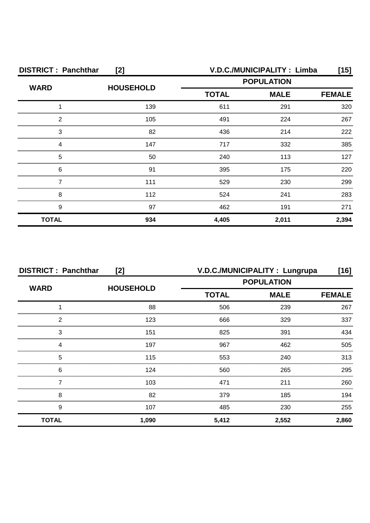| <b>DISTRICT: Panchthar</b><br>[2] |                  |                   | V.D.C./MUNICIPALITY: Limba | [15]          |
|-----------------------------------|------------------|-------------------|----------------------------|---------------|
| <b>WARD</b>                       | <b>HOUSEHOLD</b> | <b>POPULATION</b> |                            |               |
|                                   |                  | <b>TOTAL</b>      | <b>MALE</b>                | <b>FEMALE</b> |
|                                   | 139              | 611               | 291                        | 320           |
| 2                                 | 105              | 491               | 224                        | 267           |
| 3                                 | 82               | 436               | 214                        | 222           |
|                                   | 147              | 717               | 332                        | 385           |
| 5                                 | 50               | 240               | 113                        | 127           |
| 6                                 | 91               | 395               | 175                        | 220           |
|                                   | 111              | 529               | 230                        | 299           |
| 8                                 | 112              | 524               | 241                        | 283           |
| 9                                 | 97               | 462               | 191                        | 271           |
| <b>TOTAL</b>                      | 934              | 4,405             | 2,011                      | 2,394         |

| <b>DISTRICT: Panchthar</b><br>[2] |                  |              | V.D.C./MUNICIPALITY: Lungrupa | $[16]$        |
|-----------------------------------|------------------|--------------|-------------------------------|---------------|
| <b>WARD</b>                       |                  |              | <b>POPULATION</b>             |               |
|                                   | <b>HOUSEHOLD</b> | <b>TOTAL</b> | <b>MALE</b>                   | <b>FEMALE</b> |
|                                   | 88               | 506          | 239                           | 267           |
| 2                                 | 123              | 666          | 329                           | 337           |
| 3                                 | 151              | 825          | 391                           | 434           |
| Δ                                 | 197              | 967          | 462                           | 505           |
| 5                                 | 115              | 553          | 240                           | 313           |
| 6                                 | 124              | 560          | 265                           | 295           |
|                                   | 103              | 471          | 211                           | 260           |
| 8                                 | 82               | 379          | 185                           | 194           |
| 9                                 | 107              | 485          | 230                           | 255           |
| <b>TOTAL</b>                      | 1,090            | 5,412        | 2,552                         | 2,860         |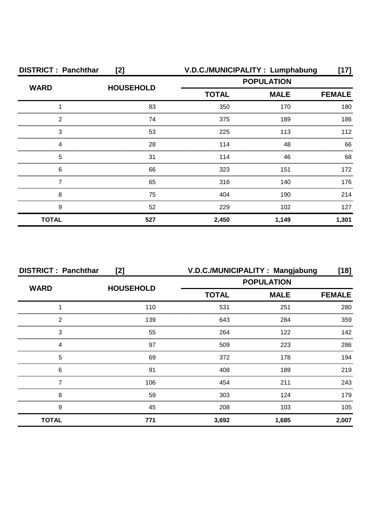| <b>DISTRICT: Panchthar</b> | [2]              |              | V.D.C./MUNICIPALITY: Lumphabung | [17]          |
|----------------------------|------------------|--------------|---------------------------------|---------------|
| <b>WARD</b>                | <b>HOUSEHOLD</b> |              | <b>POPULATION</b>               |               |
|                            |                  | <b>TOTAL</b> | <b>MALE</b>                     | <b>FEMALE</b> |
|                            | 83               | 350          | 170                             | 180           |
| 2                          | 74               | 375          | 189                             | 186           |
| 3                          | 53               | 225          | 113                             | 112           |
|                            | 28               | 114          | 48                              | 66            |
| 5                          | 31               | 114          | 46                              | 68            |
| 6                          | 66               | 323          | 151                             | 172           |
|                            | 65               | 316          | 140                             | 176           |
| 8                          | 75               | 404          | 190                             | 214           |
| 9                          | 52               | 229          | 102                             | 127           |
| <b>TOTAL</b>               | 527              | 2,450        | 1,149                           | 1,301         |

| <b>DISTRICT: Panchthar</b><br>[2] |                  | V.D.C./MUNICIPALITY: Mangjabung |                   | [18]          |
|-----------------------------------|------------------|---------------------------------|-------------------|---------------|
| <b>WARD</b>                       | <b>HOUSEHOLD</b> |                                 | <b>POPULATION</b> |               |
|                                   |                  | <b>TOTAL</b>                    | <b>MALE</b>       | <b>FEMALE</b> |
|                                   | 110              | 531                             | 251               | 280           |
| 2                                 | 139              | 643                             | 284               | 359           |
| 3                                 | 55               | 264                             | 122               | 142           |
| Δ                                 | 97               | 509                             | 223               | 286           |
| 5                                 | 69               | 372                             | 178               | 194           |
| 6                                 | 91               | 408                             | 189               | 219           |
|                                   | 106              | 454                             | 211               | 243           |
| 8                                 | 59               | 303                             | 124               | 179           |
| 9                                 | 45               | 208                             | 103               | 105           |
| <b>TOTAL</b>                      | 771              | 3,692                           | 1,685             | 2,007         |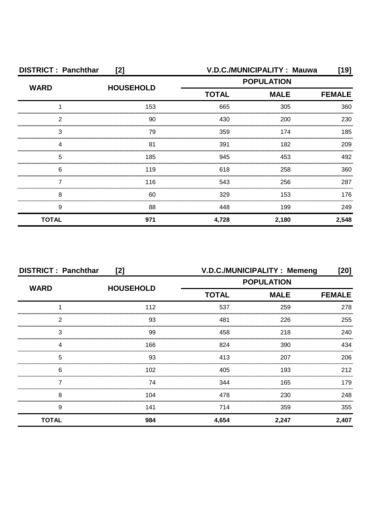| <b>DISTRICT: Panchthar</b><br>[2] |                  | V.D.C./MUNICIPALITY: Mauwa |             | [19]          |
|-----------------------------------|------------------|----------------------------|-------------|---------------|
| <b>WARD</b>                       | <b>HOUSEHOLD</b> | <b>POPULATION</b>          |             |               |
|                                   |                  | <b>TOTAL</b>               | <b>MALE</b> | <b>FEMALE</b> |
|                                   | 153              | 665                        | 305         | 360           |
| ႒                                 | 90               | 430                        | 200         | 230           |
| 3                                 | 79               | 359                        | 174         | 185           |
|                                   | 81               | 391                        | 182         | 209           |
| 5                                 | 185              | 945                        | 453         | 492           |
| 6                                 | 119              | 618                        | 258         | 360           |
|                                   | 116              | 543                        | 256         | 287           |
| 8                                 | 60               | 329                        | 153         | 176           |
| 9                                 | 88               | 448                        | 199         | 249           |
| <b>TOTAL</b>                      | 971              | 4,728                      | 2,180       | 2,548         |

| <b>DISTRICT: Panchthar</b><br>[2] |                  |                   | V.D.C./MUNICIPALITY: Memeng | [20]          |
|-----------------------------------|------------------|-------------------|-----------------------------|---------------|
| <b>WARD</b>                       |                  | <b>POPULATION</b> |                             |               |
|                                   | <b>HOUSEHOLD</b> | <b>TOTAL</b>      | <b>MALE</b>                 | <b>FEMALE</b> |
|                                   | 112              | 537               | 259                         | 278           |
| 2                                 | 93               | 481               | 226                         | 255           |
| 3                                 | 99               | 458               | 218                         | 240           |
| 4                                 | 166              | 824               | 390                         | 434           |
| 5                                 | 93               | 413               | 207                         | 206           |
| 6                                 | 102              | 405               | 193                         | 212           |
|                                   | 74               | 344               | 165                         | 179           |
| 8                                 | 104              | 478               | 230                         | 248           |
| 9                                 | 141              | 714               | 359                         | 355           |
| <b>TOTAL</b>                      | 984              | 4,654             | 2,247                       | 2,407         |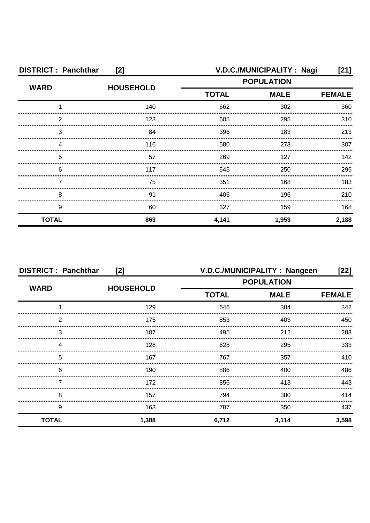| <b>DISTRICT: Panchthar</b><br>[2] |                  |                   | V.D.C./MUNICIPALITY: Nagi | [21]          |
|-----------------------------------|------------------|-------------------|---------------------------|---------------|
| <b>WARD</b>                       | <b>HOUSEHOLD</b> | <b>POPULATION</b> |                           |               |
|                                   |                  | <b>TOTAL</b>      | <b>MALE</b>               | <b>FEMALE</b> |
|                                   | 140              | 662               | 302                       | 360           |
| 2                                 | 123              | 605               | 295                       | 310           |
| 3                                 | 84               | 396               | 183                       | 213           |
| 4                                 | 116              | 580               | 273                       | 307           |
| 5                                 | 57               | 269               | 127                       | 142           |
| 6                                 | 117              | 545               | 250                       | 295           |
|                                   | 75               | 351               | 168                       | 183           |
| 8                                 | 91               | 406               | 196                       | 210           |
| 9                                 | 60               | 327               | 159                       | 168           |
| <b>TOTAL</b>                      | 863              | 4,141             | 1,953                     | 2,188         |

| <b>DISTRICT: Panchthar</b><br>[2] |                  |                   | V.D.C./MUNICIPALITY: Nangeen | [22]          |
|-----------------------------------|------------------|-------------------|------------------------------|---------------|
| <b>WARD</b>                       |                  | <b>POPULATION</b> |                              |               |
|                                   | <b>HOUSEHOLD</b> | <b>TOTAL</b>      | <b>MALE</b>                  | <b>FEMALE</b> |
|                                   | 129              | 646               | 304                          | 342           |
| 2                                 | 175              | 853               | 403                          | 450           |
| 3                                 | 107              | 495               | 212                          | 283           |
| 4                                 | 128              | 628               | 295                          | 333           |
| 5                                 | 167              | 767               | 357                          | 410           |
| 6                                 | 190              | 886               | 400                          | 486           |
|                                   | 172              | 856               | 413                          | 443           |
| 8                                 | 157              | 794               | 380                          | 414           |
| 9                                 | 163              | 787               | 350                          | 437           |
| <b>TOTAL</b>                      | 1,388            | 6,712             | 3,114                        | 3,598         |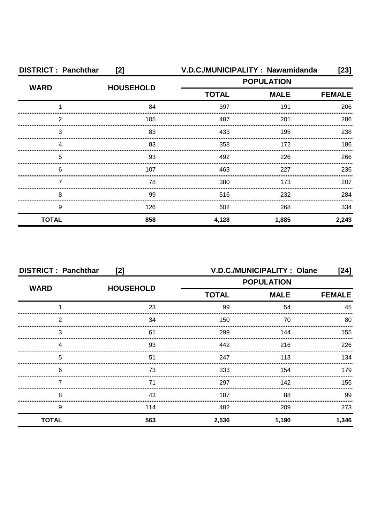| <b>DISTRICT: Panchthar</b><br>[2] |                  |              | V.D.C./MUNICIPALITY: Nawamidanda | [23]          |
|-----------------------------------|------------------|--------------|----------------------------------|---------------|
| <b>WARD</b>                       | <b>HOUSEHOLD</b> |              | <b>POPULATION</b>                |               |
|                                   |                  | <b>TOTAL</b> | <b>MALE</b>                      | <b>FEMALE</b> |
|                                   | 84               | 397          | 191                              | 206           |
| 2                                 | 105              | 487          | 201                              | 286           |
| 3                                 | 83               | 433          | 195                              | 238           |
| Δ                                 | 83               | 358          | 172                              | 186           |
| 5                                 | 93               | 492          | 226                              | 266           |
| 6                                 | 107              | 463          | 227                              | 236           |
|                                   | 78               | 380          | 173                              | 207           |
| 8                                 | 99               | 516          | 232                              | 284           |
| 9                                 | 126              | 602          | 268                              | 334           |
| <b>TOTAL</b>                      | 858              | 4,128        | 1,885                            | 2,243         |

| <b>DISTRICT: Panchthar</b><br>[2] |                  |              | V.D.C./MUNICIPALITY: Olane | [24]          |
|-----------------------------------|------------------|--------------|----------------------------|---------------|
| <b>WARD</b>                       | <b>HOUSEHOLD</b> |              | <b>POPULATION</b>          |               |
|                                   |                  | <b>TOTAL</b> | <b>MALE</b>                | <b>FEMALE</b> |
|                                   | 23               | 99           | 54                         | 45            |
| 2                                 | 34               | 150          | 70                         | 80            |
| 3                                 | 61               | 299          | 144                        | 155           |
|                                   | 93               | 442          | 216                        | 226           |
| 5                                 | 51               | 247          | 113                        | 134           |
| 6                                 | 73               | 333          | 154                        | 179           |
|                                   | 71               | 297          | 142                        | 155           |
| 8                                 | 43               | 187          | 88                         | 99            |
| 9                                 | 114              | 482          | 209                        | 273           |
| <b>TOTAL</b>                      | 563              | 2,536        | 1,190                      | 1,346         |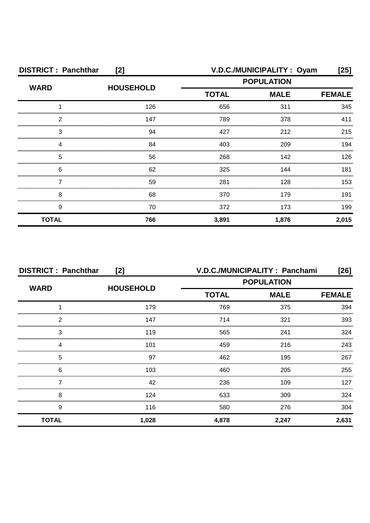| <b>DISTRICT: Panchthar</b><br>[2] |                  |                   | V.D.C./MUNICIPALITY: Oyam | [25]          |
|-----------------------------------|------------------|-------------------|---------------------------|---------------|
| <b>WARD</b>                       | <b>HOUSEHOLD</b> | <b>POPULATION</b> |                           |               |
|                                   |                  | <b>TOTAL</b>      | <b>MALE</b>               | <b>FEMALE</b> |
|                                   | 126              | 656               | 311                       | 345           |
| 2                                 | 147              | 789               | 378                       | 411           |
| 3                                 | 94               | 427               | 212                       | 215           |
|                                   | 84               | 403               | 209                       | 194           |
| 5                                 | 56               | 268               | 142                       | 126           |
| 6                                 | 62               | 325               | 144                       | 181           |
|                                   | 59               | 281               | 128                       | 153           |
| 8                                 | 68               | 370               | 179                       | 191           |
| 9                                 | 70               | 372               | 173                       | 199           |
| <b>TOTAL</b>                      | 766              | 3,891             | 1,876                     | 2,015         |

| <b>DISTRICT: Panchthar</b><br>[2] |                  | V.D.C./MUNICIPALITY: Panchami<br>$[26]$ |             |               |
|-----------------------------------|------------------|-----------------------------------------|-------------|---------------|
| <b>WARD</b>                       | <b>HOUSEHOLD</b> | <b>POPULATION</b>                       |             |               |
|                                   |                  | <b>TOTAL</b>                            | <b>MALE</b> | <b>FEMALE</b> |
|                                   | 179              | 769                                     | 375         | 394           |
| 2                                 | 147              | 714                                     | 321         | 393           |
| 3                                 | 119              | 565                                     | 241         | 324           |
| 4                                 | 101              | 459                                     | 216         | 243           |
| 5                                 | 97               | 462                                     | 195         | 267           |
| 6                                 | 103              | 460                                     | 205         | 255           |
|                                   | 42               | 236                                     | 109         | 127           |
| 8                                 | 124              | 633                                     | 309         | 324           |
| 9                                 | 116              | 580                                     | 276         | 304           |
| <b>TOTAL</b>                      | 1,028            | 4,878                                   | 2,247       | 2,631         |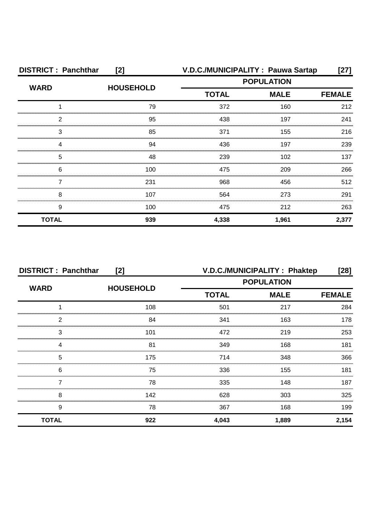| <b>DISTRICT: Panchthar</b><br>[2] |                  |              | V.D.C./MUNICIPALITY: Pauwa Sartap | [27]          |
|-----------------------------------|------------------|--------------|-----------------------------------|---------------|
| <b>WARD</b>                       | <b>HOUSEHOLD</b> |              | <b>POPULATION</b>                 |               |
|                                   |                  | <b>TOTAL</b> | <b>MALE</b>                       | <b>FEMALE</b> |
|                                   | 79               | 372          | 160                               | 212           |
| 2                                 | 95               | 438          | 197                               | 241           |
| 3                                 | 85               | 371          | 155                               | 216           |
| Δ                                 | 94               | 436          | 197                               | 239           |
| 5                                 | 48               | 239          | 102                               | 137           |
| 6                                 | 100              | 475          | 209                               | 266           |
|                                   | 231              | 968          | 456                               | 512           |
| 8                                 | 107              | 564          | 273                               | 291           |
| 9                                 | 100              | 475          | 212                               | 263           |
| <b>TOTAL</b>                      | 939              | 4,338        | 1,961                             | 2,377         |

| <b>DISTRICT: Panchthar</b><br>[2] |                  |                   | V.D.C./MUNICIPALITY: Phaktep | $[28]$        |
|-----------------------------------|------------------|-------------------|------------------------------|---------------|
| <b>WARD</b>                       | <b>HOUSEHOLD</b> | <b>POPULATION</b> |                              |               |
|                                   |                  | <b>TOTAL</b>      | <b>MALE</b>                  | <b>FEMALE</b> |
|                                   | 108              | 501               | 217                          | 284           |
| っ                                 | 84               | 341               | 163                          | 178           |
| 3                                 | 101              | 472               | 219                          | 253           |
|                                   | 81               | 349               | 168                          | 181           |
| 5                                 | 175              | 714               | 348                          | 366           |
| 6                                 | 75               | 336               | 155                          | 181           |
|                                   | 78               | 335               | 148                          | 187           |
| 8                                 | 142              | 628               | 303                          | 325           |
| 9                                 | 78               | 367               | 168                          | 199           |
| <b>TOTAL</b>                      | 922              | 4,043             | 1,889                        | 2,154         |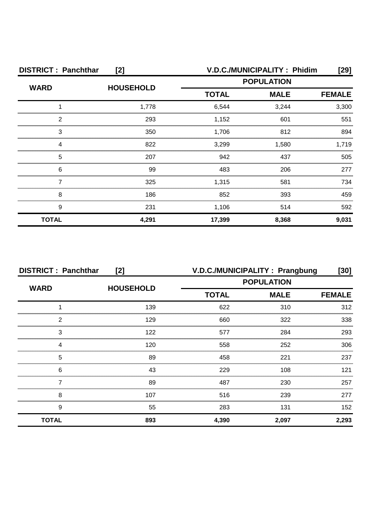| <b>DISTRICT: Panchthar</b><br>[2] |                  |              | V.D.C./MUNICIPALITY: Phidim | [29]          |
|-----------------------------------|------------------|--------------|-----------------------------|---------------|
| <b>WARD</b>                       | <b>HOUSEHOLD</b> |              | <b>POPULATION</b>           |               |
|                                   |                  | <b>TOTAL</b> | <b>MALE</b>                 | <b>FEMALE</b> |
|                                   | 1,778            | 6,544        | 3,244                       | 3,300         |
| 2                                 | 293              | 1,152        | 601                         | 551           |
| 3                                 | 350              | 1.706        | 812                         | 894           |
|                                   | 822              | 3,299        | 1,580                       | 1,719         |
| 5                                 | 207              | 942          | 437                         | 505           |
| 6                                 | 99               | 483          | 206                         | 277           |
|                                   | 325              | 1,315        | 581                         | 734           |
| 8                                 | 186              | 852          | 393                         | 459           |
| 9                                 | 231              | 1,106        | 514                         | 592           |
| <b>TOTAL</b>                      | 4,291            | 17,399       | 8,368                       | 9,031         |

| <b>DISTRICT: Panchthar</b><br>[2] |                  | V.D.C./MUNICIPALITY: Prangbung |                   | [30]          |
|-----------------------------------|------------------|--------------------------------|-------------------|---------------|
| <b>WARD</b>                       | <b>HOUSEHOLD</b> |                                | <b>POPULATION</b> |               |
|                                   |                  | <b>TOTAL</b>                   | <b>MALE</b>       | <b>FEMALE</b> |
|                                   | 139              | 622                            | 310               | 312           |
| 2                                 | 129              | 660                            | 322               | 338           |
| 3                                 | 122              | 577                            | 284               | 293           |
|                                   | 120              | 558                            | 252               | 306           |
| 5                                 | 89               | 458                            | 221               | 237           |
| 6                                 | 43               | 229                            | 108               | 121           |
|                                   | 89               | 487                            | 230               | 257           |
| 8                                 | 107              | 516                            | 239               | 277           |
| 9                                 | 55               | 283                            | 131               | 152           |
| <b>TOTAL</b>                      | 893              | 4,390                          | 2,097             | 2,293         |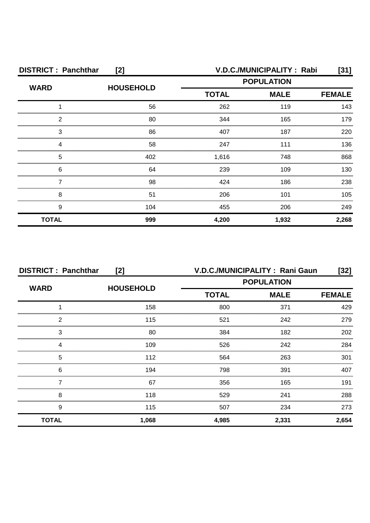| <b>DISTRICT: Panchthar</b><br>[2] |                  |                   | V.D.C./MUNICIPALITY: Rabi | [31]          |
|-----------------------------------|------------------|-------------------|---------------------------|---------------|
| <b>WARD</b>                       | <b>HOUSEHOLD</b> | <b>POPULATION</b> |                           |               |
|                                   |                  | <b>TOTAL</b>      | <b>MALE</b>               | <b>FEMALE</b> |
|                                   | 56               | 262               | 119                       | 143           |
| 2                                 | 80               | 344               | 165                       | 179           |
| 3                                 | 86               | 407               | 187                       | 220           |
|                                   | 58               | 247               | 111                       | 136           |
| 5                                 | 402              | 1,616             | 748                       | 868           |
| 6                                 | 64               | 239               | 109                       | 130           |
|                                   | 98               | 424               | 186                       | 238           |
| 8                                 | 51               | 206               | 101                       | 105           |
| 9                                 | 104              | 455               | 206                       | 249           |
| <b>TOTAL</b>                      | 999              | 4,200             | 1,932                     | 2,268         |

| <b>DISTRICT: Panchthar</b><br>[2] |                  |                   | V.D.C./MUNICIPALITY: Rani Gaun | $[32]$        |
|-----------------------------------|------------------|-------------------|--------------------------------|---------------|
| <b>WARD</b>                       |                  | <b>POPULATION</b> |                                |               |
|                                   | <b>HOUSEHOLD</b> | <b>TOTAL</b>      | <b>MALE</b>                    | <b>FEMALE</b> |
|                                   | 158              | 800               | 371                            | 429           |
| 2                                 | 115              | 521               | 242                            | 279           |
| 3                                 | 80               | 384               | 182                            | 202           |
| 4                                 | 109              | 526               | 242                            | 284           |
| 5                                 | 112              | 564               | 263                            | 301           |
| 6                                 | 194              | 798               | 391                            | 407           |
|                                   | 67               | 356               | 165                            | 191           |
| 8                                 | 118              | 529               | 241                            | 288           |
| 9                                 | 115              | 507               | 234                            | 273           |
| <b>TOTAL</b>                      | 1,068            | 4,985             | 2,331                          | 2,654         |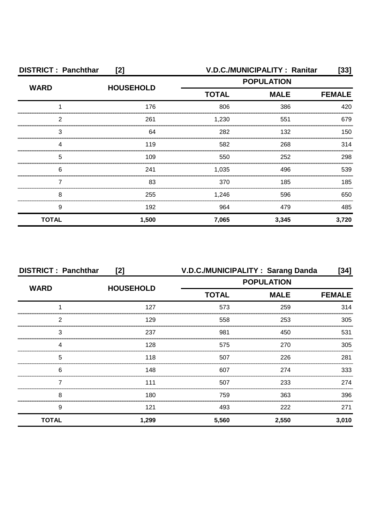| <b>DISTRICT: Panchthar</b><br>[2] |                  |              | V.D.C./MUNICIPALITY: Ranitar | [33]          |
|-----------------------------------|------------------|--------------|------------------------------|---------------|
| <b>WARD</b>                       | <b>HOUSEHOLD</b> |              | <b>POPULATION</b>            |               |
|                                   |                  | <b>TOTAL</b> | <b>MALE</b>                  | <b>FEMALE</b> |
|                                   | 176              | 806          | 386                          | 420           |
| っ                                 | 261              | 1,230        | 551                          | 679           |
| 3                                 | 64               | 282          | 132                          | 150           |
|                                   | 119              | 582          | 268                          | 314           |
| 5                                 | 109              | 550          | 252                          | 298           |
| 6                                 | 241              | 1,035        | 496                          | 539           |
|                                   | 83               | 370          | 185                          | 185           |
| 8                                 | 255              | 1,246        | 596                          | 650           |
| 9                                 | 192              | 964          | 479                          | 485           |
| <b>TOTAL</b>                      | 1,500            | 7,065        | 3,345                        | 3,720         |

| <b>DISTRICT: Panchthar</b><br>[2] |       | V.D.C./MUNICIPALITY: Sarang Danda |                   | [34]          |
|-----------------------------------|-------|-----------------------------------|-------------------|---------------|
| <b>WARD</b><br><b>HOUSEHOLD</b>   |       |                                   | <b>POPULATION</b> |               |
|                                   |       | <b>TOTAL</b>                      | <b>MALE</b>       | <b>FEMALE</b> |
|                                   | 127   | 573                               | 259               | 314           |
| 2                                 | 129   | 558                               | 253               | 305           |
| 3                                 | 237   | 981                               | 450               | 531           |
|                                   | 128   | 575                               | 270               | 305           |
| 5                                 | 118   | 507                               | 226               | 281           |
| 6                                 | 148   | 607                               | 274               | 333           |
|                                   | 111   | 507                               | 233               | 274           |
| 8                                 | 180   | 759                               | 363               | 396           |
| 9                                 | 121   | 493                               | 222               | 271           |
| <b>TOTAL</b>                      | 1,299 | 5,560                             | 2,550             | 3,010         |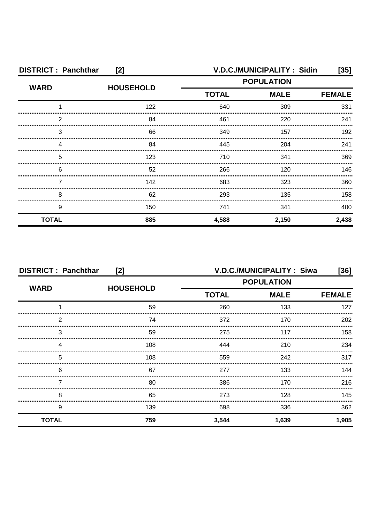| <b>DISTRICT: Panchthar</b><br>[2] |                  |                   | V.D.C./MUNICIPALITY: Sidin | [35]          |
|-----------------------------------|------------------|-------------------|----------------------------|---------------|
| <b>WARD</b>                       | <b>HOUSEHOLD</b> | <b>POPULATION</b> |                            |               |
|                                   |                  | <b>TOTAL</b>      | <b>MALE</b>                | <b>FEMALE</b> |
|                                   | 122              | 640               | 309                        | 331           |
| 2                                 | 84               | 461               | 220                        | 241           |
| 3                                 | 66               | 349               | 157                        | 192           |
| Δ                                 | 84               | 445               | 204                        | 241           |
| 5                                 | 123              | 710               | 341                        | 369           |
| 6                                 | 52               | 266               | 120                        | 146           |
|                                   | 142              | 683               | 323                        | 360           |
| 8                                 | 62               | 293               | 135                        | 158           |
| 9                                 | 150              | 741               | 341                        | 400           |
| <b>TOTAL</b>                      | 885              | 4,588             | 2,150                      | 2,438         |

| <b>DISTRICT: Panchthar</b><br>[2] |                  |                             | V.D.C./MUNICIPALITY: Siwa | [36]  |
|-----------------------------------|------------------|-----------------------------|---------------------------|-------|
| <b>WARD</b>                       |                  | <b>POPULATION</b>           |                           |       |
|                                   | <b>HOUSEHOLD</b> | <b>TOTAL</b><br><b>MALE</b> | <b>FEMALE</b>             |       |
|                                   | 59               | 260                         | 133                       | 127   |
| 2                                 | 74               | 372                         | 170                       | 202   |
| 3                                 | 59               | 275                         | 117                       | 158   |
| 4                                 | 108              | 444                         | 210                       | 234   |
| 5                                 | 108              | 559                         | 242                       | 317   |
| 6                                 | 67               | 277                         | 133                       | 144   |
|                                   | 80               | 386                         | 170                       | 216   |
| 8                                 | 65               | 273                         | 128                       | 145   |
| 9                                 | 139              | 698                         | 336                       | 362   |
| <b>TOTAL</b>                      | 759              | 3,544                       | 1,639                     | 1,905 |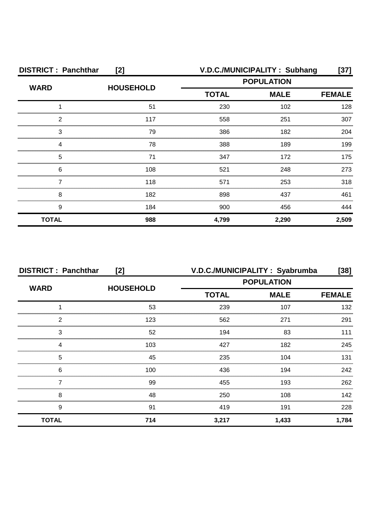| <b>DISTRICT: Panchthar</b><br>[2] |                  |                   | V.D.C./MUNICIPALITY: Subhang | [37]          |
|-----------------------------------|------------------|-------------------|------------------------------|---------------|
| <b>WARD</b>                       |                  | <b>POPULATION</b> |                              |               |
|                                   | <b>HOUSEHOLD</b> | <b>TOTAL</b>      | <b>MALE</b>                  | <b>FEMALE</b> |
|                                   | 51               | 230               | 102                          | 128           |
| ႒                                 | 117              | 558               | 251                          | 307           |
| 3                                 | 79               | 386               | 182                          | 204           |
|                                   | 78               | 388               | 189                          | 199           |
| 5                                 | 71               | 347               | 172                          | 175           |
| 6                                 | 108              | 521               | 248                          | 273           |
|                                   | 118              | 571               | 253                          | 318           |
| 8                                 | 182              | 898               | 437                          | 461           |
| 9                                 | 184              | 900               | 456                          | 444           |
| <b>TOTAL</b>                      | 988              | 4,799             | 2,290                        | 2,509         |

| <b>DISTRICT: Panchthar</b><br>[2] |                  | V.D.C./MUNICIPALITY: Syabrumba<br>$[38]$ |             |               |
|-----------------------------------|------------------|------------------------------------------|-------------|---------------|
|                                   |                  | <b>POPULATION</b>                        |             |               |
| <b>WARD</b>                       | <b>HOUSEHOLD</b> | <b>TOTAL</b>                             | <b>MALE</b> | <b>FEMALE</b> |
|                                   | 53               | 239                                      | 107         | 132           |
| 2                                 | 123              | 562                                      | 271         | 291           |
| 3                                 | 52               | 194                                      | 83          | 111           |
|                                   | 103              | 427                                      | 182         | 245           |
| 5                                 | 45               | 235                                      | 104         | 131           |
| 6                                 | 100              | 436                                      | 194         | 242           |
|                                   | 99               | 455                                      | 193         | 262           |
| 8                                 | 48               | 250                                      | 108         | 142           |
| 9                                 | 91               | 419                                      | 191         | 228           |
| <b>TOTAL</b>                      | 714              | 3,217                                    | 1,433       | 1,784         |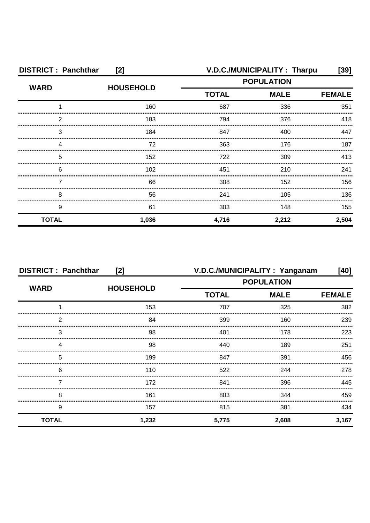| <b>DISTRICT: Panchthar</b><br>[2] |                  | V.D.C./MUNICIPALITY: Tharpu<br>[39] |             |               |
|-----------------------------------|------------------|-------------------------------------|-------------|---------------|
| <b>WARD</b>                       | <b>HOUSEHOLD</b> | <b>POPULATION</b>                   |             |               |
|                                   |                  | <b>TOTAL</b>                        | <b>MALE</b> | <b>FEMALE</b> |
|                                   | 160              | 687                                 | 336         | 351           |
| 2                                 | 183              | 794                                 | 376         | 418           |
| 3                                 | 184              | 847                                 | 400         | 447           |
|                                   | 72               | 363                                 | 176         | 187           |
| 5                                 | 152              | 722                                 | 309         | 413           |
| 6                                 | 102              | 451                                 | 210         | 241           |
|                                   | 66               | 308                                 | 152         | 156           |
| 8                                 | 56               | 241                                 | 105         | 136           |
| 9                                 | 61               | 303                                 | 148         | 155           |
| <b>TOTAL</b>                      | 1,036            | 4,716                               | 2,212       | 2,504         |

| <b>DISTRICT: Panchthar</b><br>[2] |                  | V.D.C./MUNICIPALITY: Yanganam<br>[40] |             |               |
|-----------------------------------|------------------|---------------------------------------|-------------|---------------|
| <b>WARD</b>                       |                  | <b>POPULATION</b>                     |             |               |
|                                   | <b>HOUSEHOLD</b> | <b>TOTAL</b>                          | <b>MALE</b> | <b>FEMALE</b> |
|                                   | 153              | 707                                   | 325         | 382           |
| 2                                 | 84               | 399                                   | 160         | 239           |
| 3                                 | 98               | 401                                   | 178         | 223           |
|                                   | 98               | 440                                   | 189         | 251           |
| 5                                 | 199              | 847                                   | 391         | 456           |
| 6                                 | 110              | 522                                   | 244         | 278           |
|                                   | 172              | 841                                   | 396         | 445           |
| 8                                 | 161              | 803                                   | 344         | 459           |
| 9                                 | 157              | 815                                   | 381         | 434           |
| <b>TOTAL</b>                      | 1,232            | 5,775                                 | 2,608       | 3,167         |